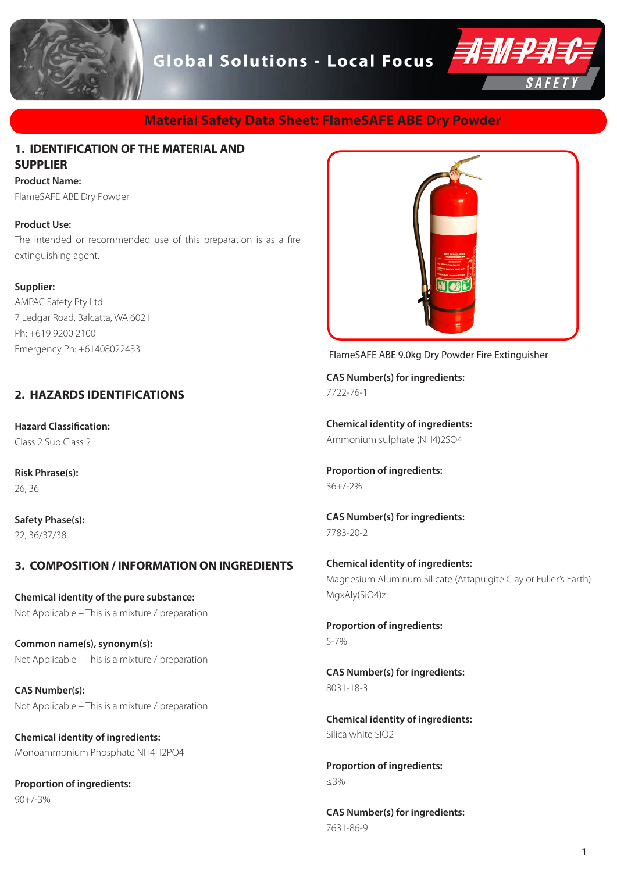

### **Material Safety Data Sheet: FlameSAFE ABE Dry Powder**

### **1. IDENTIFICATION OF THE MATERIAL AND SUPPLIER**

**Product Name:** 

FlameSAFE ABE Dry Powder

### **Product Use:**

The intended or recommended use of this preparation is as a fire extinguishing agent.

#### **Supplier:**

AMPAC Safety Pty Ltd 7 Ledgar Road, Balcatta, WA 6021 Ph: +619 9200 2100 Emergency Ph: +61408022433

### **2. HAZARDS IDENTIFICATIONS**

**Hazard Classification:** Class 2 Sub Class 2

**Risk Phrase(s):** 26, 36

**Safety Phase(s):** 22, 36/37/38

### **3. COMPOSITION / INFORMATION ON INGREDIENTS**

**Chemical identity of the pure substance:** Not Applicable – This is a mixture / preparation

**Common name(s), synonym(s):** Not Applicable – This is a mixture / preparation

**CAS Number(s):** Not Applicable – This is a mixture / preparation

**Chemical identity of ingredients:** Monoammonium Phosphate NH4H2PO4

**Proportion of ingredients:** 90+/-3%



FlameSAFE ABE 9.0kg Dry Powder Fire Extinguisher

**CAS Number(s) for ingredients:** 7722-76-1

**Chemical identity of ingredients:** Ammonium sulphate (NH4)2SO4

**Proportion of ingredients:** 36+/-2%

**CAS Number(s) for ingredients:** 7783-20-2

**Chemical identity of ingredients:** Magnesium Aluminum Silicate (Attapulgite Clay or Fuller's Earth) MgxAly(SiO4)z

**Proportion of ingredients:** 5-7%

**CAS Number(s) for ingredients:** 8031-18-3

**Chemical identity of ingredients:** Silica white SIO2

**Proportion of ingredients:** ≤3%

**CAS Number(s) for ingredients:** 7631-86-9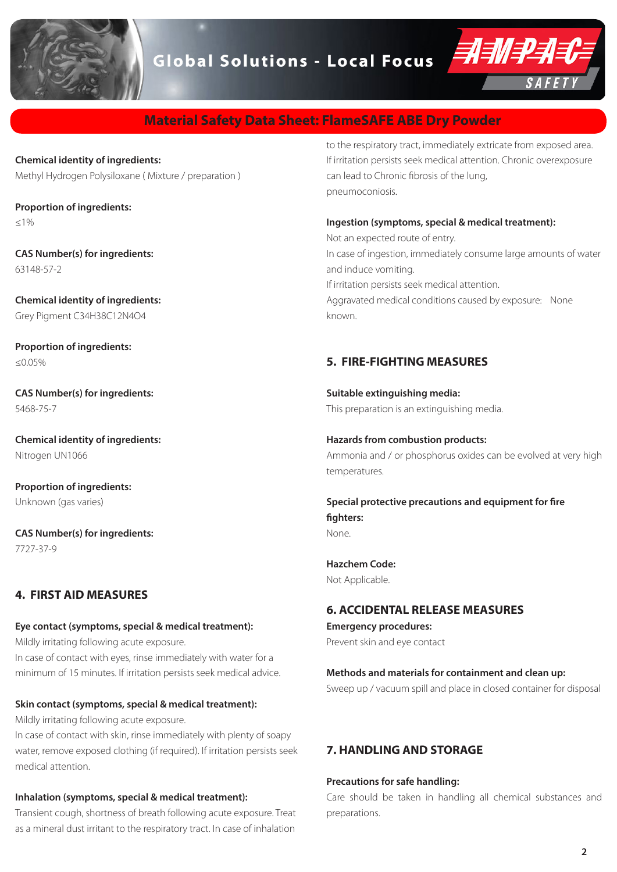

### **Material Safety Data Sheet: FlameSAFE ABE Dry Powder**

**Chemical identity of ingredients:** Methyl Hydrogen Polysiloxane ( Mixture / preparation )

**Proportion of ingredients:**  $<1%$ 

**CAS Number(s) for ingredients:** 63148-57-2

**Chemical identity of ingredients:** Grey Pigment C34H38C12N4O4

**Proportion of ingredients:** ≤0.05%

**CAS Number(s) for ingredients:** 5468-75-7

**Chemical identity of ingredients:** Nitrogen UN1066

**Proportion of ingredients:** Unknown (gas varies)

**CAS Number(s) for ingredients:** 7727-37-9

### **4. FIRST AID MEASURES**

#### **Eye contact (symptoms, special & medical treatment):**

Mildly irritating following acute exposure. In case of contact with eyes, rinse immediately with water for a minimum of 15 minutes. If irritation persists seek medical advice.

### **Skin contact (symptoms, special & medical treatment):**

Mildly irritating following acute exposure.

In case of contact with skin, rinse immediately with plenty of soapy water, remove exposed clothing (if required). If irritation persists seek medical attention.

#### **Inhalation (symptoms, special & medical treatment):**

Transient cough, shortness of breath following acute exposure. Treat as a mineral dust irritant to the respiratory tract. In case of inhalation

to the respiratory tract, immediately extricate from exposed area. If irritation persists seek medical attention. Chronic overexposure can lead to Chronic fibrosis of the lung, pneumoconiosis.

### **Ingestion (symptoms, special & medical treatment):**

Not an expected route of entry. In case of ingestion, immediately consume large amounts of water and induce vomiting. If irritation persists seek medical attention. Aggravated medical conditions caused by exposure: None known.

### **5. FIRE-FIGHTING MEASURES**

**Suitable extinguishing media:** This preparation is an extinguishing media.

**Hazards from combustion products:** Ammonia and / or phosphorus oxides can be evolved at very high temperatures.

#### **Special protective precautions and equipment for fire fighters:** None.

**Hazchem Code:**

Not Applicable.

### **6. ACCIDENTAL RELEASE MEASURES**

**Emergency procedures:** Prevent skin and eye contact

### **Methods and materials for containment and clean up:**

Sweep up / vacuum spill and place in closed container for disposal

### **7. HANDLING AND STORAGE**

#### **Precautions for safe handling:**

Care should be taken in handling all chemical substances and preparations.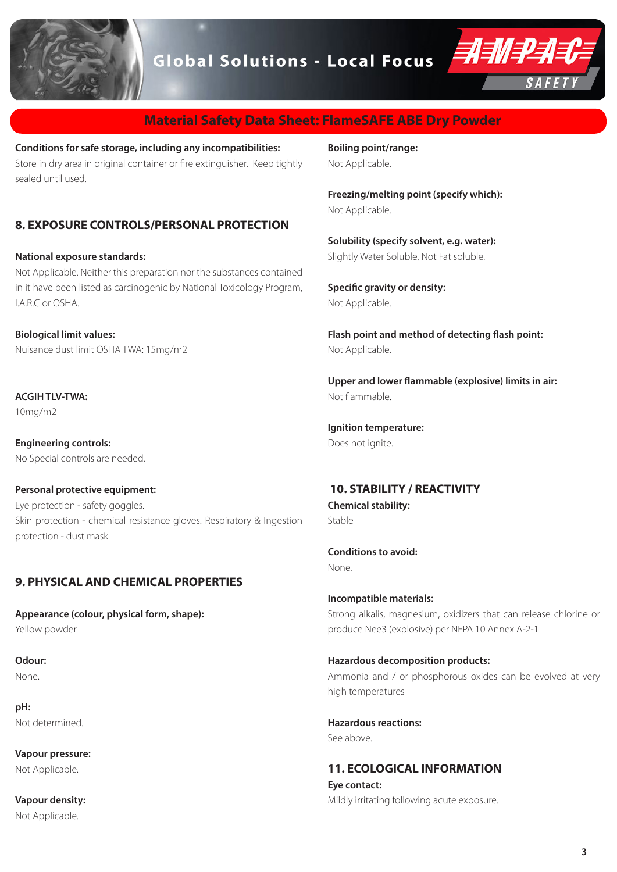

## **Material Safety Data Sheet: FlameSAFE ABE Dry Powder**

**Conditions for safe storage, including any incompatibilities:** Store in dry area in original container or fire extinguisher. Keep tightly sealed until used.

### **8. EXPOSURE CONTROLS/PERSONAL PROTECTION**

#### **National exposure standards:**

Not Applicable. Neither this preparation nor the substances contained in it have been listed as carcinogenic by National Toxicology Program, I.A.R.C or OSHA.

**Biological limit values:** Nuisance dust limit OSHA TWA: 15mg/m2

**ACGIH TI V-TWA:** 10mg/m2

**Engineering controls:** No Special controls are needed.

**Personal protective equipment:** Eye protection - safety goggles. Skin protection - chemical resistance gloves. Respiratory & Ingestion protection - dust mask

### **9. PHYSICAL AND CHEMICAL PROPERTIES**

**Appearance (colour, physical form, shape):** Yellow powder

**Odour:** None.

**pH:** Not determined.

**Vapour pressure:** Not Applicable.

**Vapour density:** Not Applicable.

**Boiling point/range:** Not Applicable.

**Freezing/melting point (specify which):** Not Applicable.

**Solubility (specify solvent, e.g. water):** Slightly Water Soluble, Not Fat soluble.

**Specific gravity or density:** Not Applicable.

**Flash point and method of detecting flash point:** Not Applicable.

**Upper and lower flammable (explosive) limits in air:** Not flammable.

**Ignition temperature:** Does not ignite.

### **10. STABILITY / REACTIVITY**

**Chemical stability:** Stable

**Conditions to avoid:** None.

**Incompatible materials:** Strong alkalis, magnesium, oxidizers that can release chlorine or produce Nee3 (explosive) per NFPA 10 Annex A-2-1

#### **Hazardous decomposition products:**

Ammonia and / or phosphorous oxides can be evolved at very high temperatures

**Hazardous reactions:** See above.

**11. ECOLOGICAL INFORMATION Eye contact:**

Mildly irritating following acute exposure.